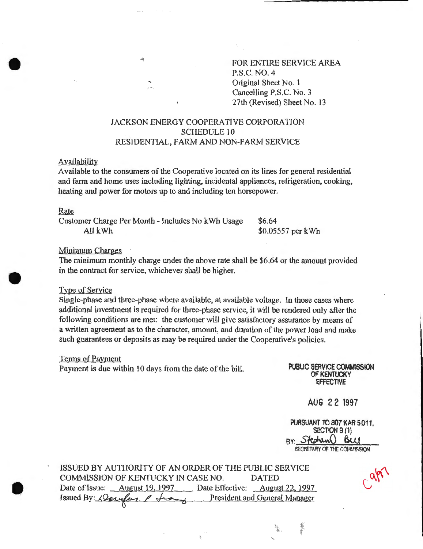FOR ENTIRE SERVICE AREA P.S.C. NO. 4 Original Sheet No. 1 Cancelling P.S.C. No.3 27th (Revised) Sheet No. 13

# JACKSON ENERGY COOPERATIVE CORPORATION SCHEDULE 10 RESIDENTIAL, FARM AND NON-FARM SERVICE

#### **Availability**

Available to the consumers of the Cooperative located on its lines for general residential and farm and home uses including lighting, incidental appliances, refrigeration, cooking, heating and power for motors up to and including ten horsepower.

Customer Charge Per Month -Includes No kWh Usage All kWh

\$6.64 \$0.05557 per kWh

#### Minimum Charges

The minimum monthly charge under the above rate shall be \$6.64 or the amount provided in the contract for service, whichever shall be higher.

### Type of Service

Single-phase and three-phase where available, at available voltage. In those cases where additional investment is required for three-phase service, it will be rendered only after the following conditions are met: the customer will give satisfactory assurance by means of a written agreement as to the character, amount, and duration of the power load and make such guarantees or deposits as may be required under the Cooperative's policies.

#### Terms of Payment

Payment is due within 10 days from the date of the bill. PUBUC SERVICE COMMISSION

OF KENTUCKY EFFECTIVE

AUG 22 1997

PURSUANT TO 807 KAR 5:011, SECTION 9 (1) BY: **Stechand BCC**<br>SECRETARY OF THE COMMISSION

ISSUED BY AUTHORITY OF AN ORDER OF THE PUBLIC SERVICE COMMISSION OF KENTUCKY IN CASE NO. DATED Date of Issue: <u>August 19, 1997</u> Date Effective: August 22, 1997 OMMISSION OF KENTOCKY IN CASE NO. DATED<br>Date of Issue: <u>August 19, 1997</u> Date Effective: <u>August 22, 1997</u><br>Issued By: *Qaugust P* freed By President and General Manager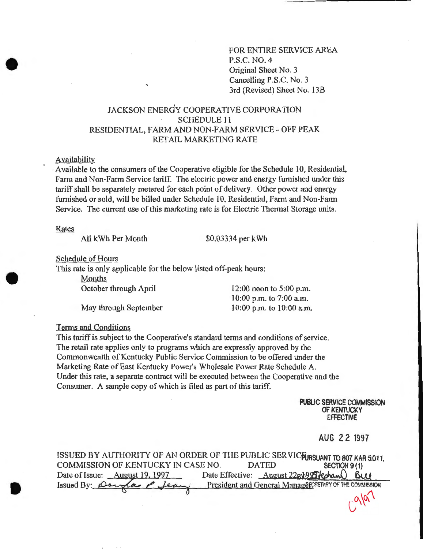FOR ENTIRE SERVICE AREA P.S.C. NO.4 Original Sheet No. 3 Cancelling P.S.C. No.3 3rd (Revised) Sheet No. 13B

# JACKSON ENERGY COOPERATIVE CORPORATION SCHEDULE 11 RESIDENTIAL, FARM AND NON-FARM SERVICE- OFF PEAK RET AIL MARKETING RATE

#### Availability

· Available to the consumers of the Cooperative eligible for the Schedule 10, Residential, Farm and Non-Farm Service tariff. The electric power and energy furnished under this tariff shall be separately metered for each point of delivery. Other power and energy furnished or sold, will be billed under Schedule 10, Residential, Farm and Non-Farm Service. The current use of this marketing rate is for Electric Thermal Storage units.

Rates

All kWh Per Month  $$0.03334$  per kWh

Schedule of Hours

This rate is only applicable for the below listed off-peak hours:

Months October through April

May through September

 $12:00$  noon to 5:00 p.m. 10:00 p.m. to 7:00a.m. 10:00 p.m. to 10:00 a.m.

Terms and Conditions

This tariff is subject to the Cooperative's standard terms and conditions of service. The retail rate applies only to programs which are expressly approved by the Commonwealth of Kentucky Public Service Commission to be offered under the Marketing Rate of East Kentucky Power's Wholesale Power Rate Schedule A. Under this rate, a separate contract will be executed between the Cooperative and the Consumer. A sample copy of which is filed as part of this tariff.

> PUBLIC SERVICE COMMISSION OF KENTUCKY EFFECTIVE

# AUG 22 1997

 $C_{\alpha\mu}$ 

| ISSUED BY AUTHORITY OF AN ORDER OF THE PUBLIC SERVICEURSUANT TO 807 KAR 5:011, |                                                        |               |
|--------------------------------------------------------------------------------|--------------------------------------------------------|---------------|
| COMMISSION OF KENTUCKY IN CASE NO.                                             | <b>DATED</b>                                           | SECTION 9 (1) |
| Date of Issue: August 19, 1997                                                 | Date Effective: August 22BV995 fectan Buy              |               |
| Issued By: Douglas P Jean                                                      | President and General ManagerCRETARY OF THE COMMISSION |               |
|                                                                                |                                                        |               |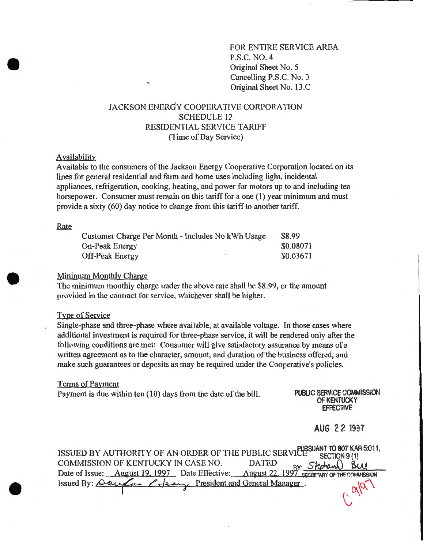FOR ENTIRE SERVICE AREA P.S.C. NO.4 Original Sheet No. 5 Cancelling P.S.C. No. 3 Original Sheet No. 13.C

# JACKSON ENERG'Y COOPERATIVE CORPORATION **SCHEDULE 12** RESIDENTIAL SERVICE TARIFF (Time of Day Service)

## Availability

Available to the consumers of the Jackson Energy Cooperative Corporation located on its lines for general residential and farm and home uses including light, incidental appliances, refrigeration, cooking, heating, and power for motors up to and including ten horsepower. Consumer must remain on this tariff for a one (1) year minimum and must provide a sixty (60) day notice to change from this tariff to another tariff.

| Customer Charge Per Month - Includes No kWh Usage | \$8.99    |
|---------------------------------------------------|-----------|
| On-Peak Energy                                    | \$0.08071 |
| Off-Peak Energy                                   | \$0.03671 |

#### Minimum Monthly Charge

The minimum monthly charge under the above rate shall be \$8.99, or the amount provided in the contract for service, whichever shall be higher.

#### Type of Service

Single-phase and three-phase where available, at available voltage. In those cases where additional investment is required for three-phase service, it will be rendered only after the following conditions are met: Consumer will give satisfactory assurance by means of a written agreement as to the character, amount, and duration of the business offered, and make such guarantees or deposits as may be required under the Cooperative's policies.

#### Terms of Payment

Payment is due within ten (10) days from the date of the bill. PUBLIC SERVICE COMMISSION

OF KENTUCKY EFFECTIVE

AUG 22 1997

| ISSUED BY AUTHORITY OF AN ORDER OF THE PUBLIC SERVICE SECTION 9 (1)                                                                                                                       |                |
|-------------------------------------------------------------------------------------------------------------------------------------------------------------------------------------------|----------------|
| COMMISSION OF KENTUCKY IN CASE NO. DATED<br>COMMISSION OF KENTUCKY IN CASE NO. DATED<br>Date of Issue: <u>August 19, 1997</u> Date Effective: August 22, 1997 SECRETARY OF THE COMMISSION |                |
|                                                                                                                                                                                           |                |
| Issued By: <del>Deuglas Plean</del> President and General Manager.                                                                                                                        | $q^{ \alpha }$ |
|                                                                                                                                                                                           |                |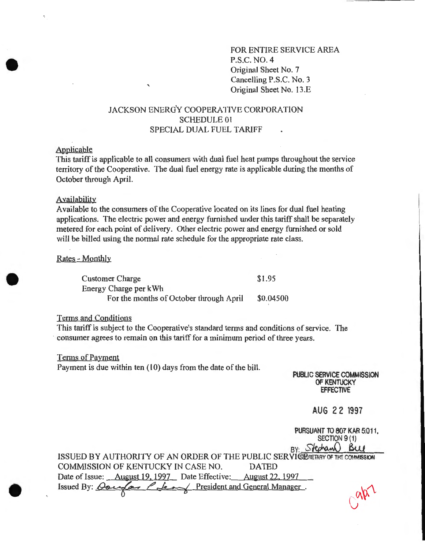FOR ENTIRE SERVICE AREA P.S.C. NO.4 Original Sheet No. 7 Cancelling P.S.C. No. 3 Original Sheet No. 13.E

# JACKSON ENERGY COOPERATIVE CORPORATION SCHEDULE 01 SPECIAL DUAL FUEL TARIFF

## Applicable

This tariff is applicable to all consumers with dual fuel heat pumps throughout the service territory of the Cooperative. The dual fuel energy rate is applicable during the months of October through April.

#### Availability

Available to the consumers of the Cooperative located on its lines for dual fuel heating applications. The electric power and energy furnished under this tariff shall be separately metered for each point of delivery. Other electric power and energy furnished or sold will be billed using the normal rate schedule for the appropriate rate class.

Rates - Monthly

Customer Charge Energy Charge per kWh For the months of October through April \$1.95 \$0.04500

Terms and Conditions

This tariff is subject to the Cooperative's standard terms and conditions of service. The consumer agrees to remain on this tariff for a minimum period of three years.

#### Terms of Payment

Payment is due within ten (10) days from the date of the bill.

PUBLIC SERVICE COMMISSION OF KENTUCKY **EFFECTIVE** 

AUG 2 2 1997

PURSUANT TO 807 KAR 5:011. SECTION 9 (1) BY: Stephan Bu ISSUED BY AUTHORITY OF AN ORDER OF THE PUBLIC SERVISTORETARY OF THE COMMISSION COMMISSION OF KENTUCKY IN CASE NO. DATED Date of Issue: August 19, 1997 Date Effective: August 22, 1997 Issued By:  $Qoeq(a)$   $Pdeq$  President and General Manager.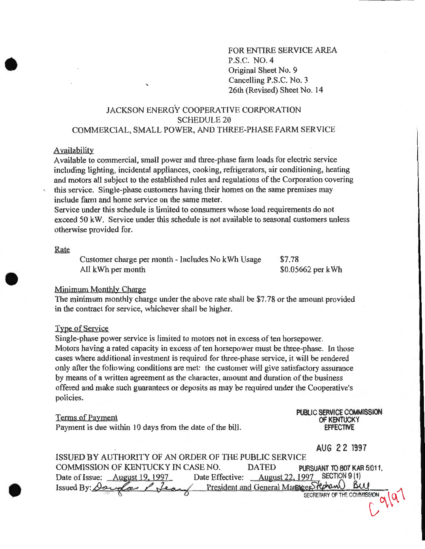FOR ENTIRE SERVICE AREA P.S.C. NO.4 Original Sheet No. 9 Cancelling P.S.C. No.3 26th (Revised) Sheet No. 14

# JACKSON ENERGY COOPERATIVE CORPORATION SCHEDULE<sub>20</sub> COMMERCIAL, SMALL POWER, AND THREE-PHASE FARM SERVICE

#### Availability

Available to commercial, small power and three-phase farm loads for electric service including lighting, incidental appliances, cooking, refrigerators, air conditioning, heating and motors all subject to the established rules and regulations of the Corporation covering this service. Single-phase customers having their homes on the same premises may include farm and home service on the same meter.

Service under this schedule is limited to consumers whose load requirements do not exceed 50 kW. Service under this schedule is not available to seasonal customers unless otherwise provided for.

#### Rate

Customer charge per month -Includes No kWh Usage All kWh per month \$7.78 \$0.05662 per kWh

#### Minimum Monthly Charge

The minimum monthly charge under the above rate shall be \$7.78 or the amount provided in the contract for service, whichever shall be higher.

#### Type of Service

Single-phase power service is limited to motors not in excess of ten horsepower. Motors having a rated capacity in excess of ten horsepower must be three-phase. In those cases where additional investment is required for three-phase service, it will be rendered only after the following conditions are met: the customer will give satisfactory assurance by means of a written agreement as the character, amount and duration of the business offered and make such guarantees or deposits as may be required under the Cooperative's policies.

#### Terms of Payment

•

Payment is due within 10 days from the date of the bill.

**PUBLIC SERVICE COMMISSION OF KENTUCKY EFFECTIVE** 

**AUG 2 2 1997** 

| ISSUED BY AUTHORITY OF AN ORDER OF THE PUBLIC SERVICE            |                                                  |
|------------------------------------------------------------------|--------------------------------------------------|
| COMMISSION OF KENTUCKY IN CASE NO.                               | <b>DATED</b><br>PURSUANT TO 807 KAR 5:011,       |
| Date of Issue: August 19, 1997                                   | SECTION 9 (1)<br>Date Effective: August 22, 1997 |
| Issued By: Dauglas P Lean President and General Margager Stephan | Bu                                               |
|                                                                  | SECRETARY OF THE COMMISSION                      |
|                                                                  |                                                  |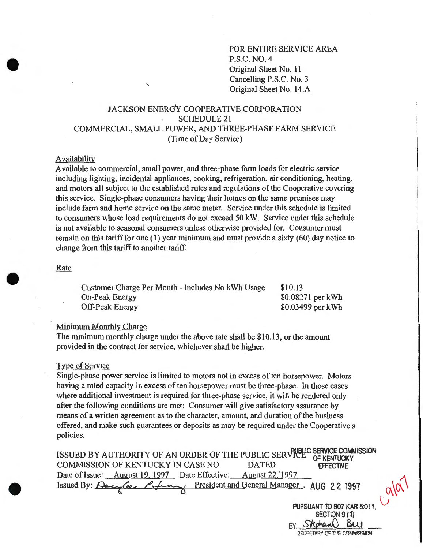FOR ENTIRE SERVICE AREA P.S.C. NO.4 Original Sheet No. 11 Cancelling P.S.C. No.3 Original Sheet No. 14.A

# JACKSON ENERGY COOPERATIVE CORPORATION SCHEDULE<sub>21</sub> COMMERCIAL, SMALL POWER, AND THREE-PHASE FARM SERVICE (Time of Day Service)

'

## Availability

Available to commercial, small power, and three-phase farm loads for electric service including lighting, incidental appliances, cooking, refrigeration, air conditioning, heating, and motors all subject to the established rules and regulations of the Cooperative covering this service. Single-phase consumers having their homes on the same premises may include farm and home service on the same meter. Service under this schedule is limited to consumers whose load requirements do not exceed 50 kW. Service under this schedule is not available to seasonal consumers unless otherwise provided for. Consumer must remain on this tariff for one (1) year minimum and must provide a sixty (60) day notice to change from this tariff to another tariff.

#### Rate

Customer Charge Per Month -Includes No kWh Usage On-Peak Energy Off-Peak Energy \$10.13 \$0.08271 per kWh \$0.03499 per kWh

#### Minimum Monthly Charge

The minimum monthly charge under the above rate shall be \$10.13, or the amount provided in the contract for service, whichever shall be higher.

#### Type of Service

Single-phase power service is limited to motors not in excess of ten horsepower. Motors having a rated capacity in excess of ten horsepower must be three-phase. In those cases where additional investment is required for three-phase service, it will be rendered only after the following conditions are met: Consumer will give satisfactory assurance by means of a written agreement as to the character, amount, and duration of the business offered, and make such guarantees or deposits as may be required under the Cooperative's policies.

ISSUED BY AUTHORITY OF AN ORDER OF THE PUBLIC SERVICE COMMISSION COMMISSION OF KENTUCKY IN CASE NO. DATED **DEFECTIVE** COMMISSION OF KENTUCKY IN CASE NO. Date of Issue: August 19, 1997 Date Effective: August 22, 1997 Issued By: <u>Oscylos Ethny President and General Manager</u>. AUG 22 1997

PURSUANT TO 807 KAR 5:011 SECTION 9(1) Stechan Bu SECRETARY OF THE COMMISSION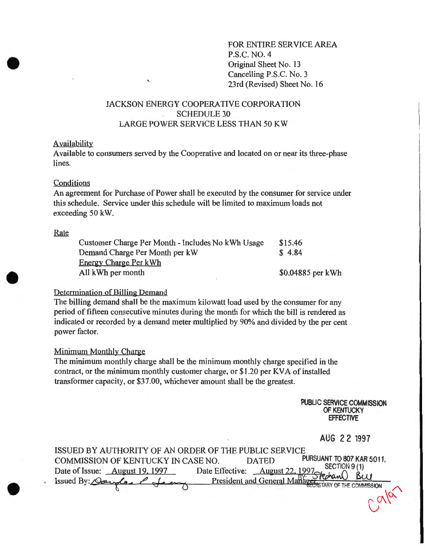FOR ENTIRE SERVICE AREA P.S.C. NO.4 Original Sheet No. 13 Cancelling P.S.C. No. 3 23rd (Revised) Sheet No. 16

# JACKSON ENERGY COOPERATIVE CORPORATION SCHEDULE 30 LARGE POWER SERVICE LESS THAN 50 KW

'

#### Availability

Available to consumers served by the Cooperative and located on or near its three-phase lines.

## Conditions

An agreement for Purchase of Power shall be executed by the consumer for service under this schedule. Service under this schedule will be limited to maximum loads not exceeding 50 kW.

#### Rate

| Customer Charge Per Month - Includes No kWh Usage | \$15.46           |
|---------------------------------------------------|-------------------|
| Demand Charge Per Month per kW                    | \$4.84            |
| <b>Energy Charge Per kWh</b>                      |                   |
| All kWh per month                                 | \$0.04885 per kWh |

## Determination of Billing Demand

The billing demand shall be the maximum kilowatt load used by the consumer for any period of fifteen consecutive minutes during the month for which the bill is rendered as indicated or recorded by a demand meter multiplied by 90% and divided by the per cent power factor.

### Minimum Monthly Charge

The minimum monthly charge shall be the minimum monthly charge specified in the contract, or the minimum monthly customer charge, or \$1.20 per KVA of installed transformer capacity, or \$37.00, whichever amount shall be the greatest.

> PUBLIC SERVICE COMMISSION OF KENTUCKY EFFECTIVE

> > AUG 2 2 1997

| ISSUED BY AUTHORITY OF AN ORDER OF THE PUBLIC SERVICE |                                 |                                            |
|-------------------------------------------------------|---------------------------------|--------------------------------------------|
| COMMISSION OF KENTUCKY IN CASE NO.                    | <b>DATED</b>                    | PURSUANT TO 807 KAR 5:011.<br>SECTION 9(1) |
| Date of Issue: <u>August 19, 1997</u>                 | Date Effective: August 22, 1997 |                                            |
| Issued By: Dauglas P Jean                             |                                 | President and General Manager Replant BLU  |
|                                                       |                                 |                                            |
|                                                       |                                 |                                            |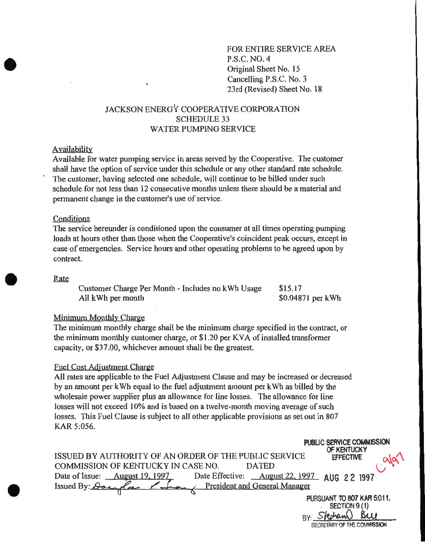FORENTIRE SERVICE AREA P.S.C. NO.4 Original Sheet No. 15 Cancelling P.S.C. No.3 23rd (Revised) Sheet No. 18

# JACKSON ENERGY COOPERATIVE CORPORATION SCHEDULE 33 WATER PUMPING SERVICE

#### Availability

Available for water pumping service in areas served by the Cooperative. The customer shall have the option of service under this schedule or any other standard rate schedule. The customer, having selected one schedule, will continue to be billed under such schedule for not less than 12 consecutive months unless there should be a material and permanent change in the customer's use of service.

#### Conditions

The service hereunder is conditioned upon the consumer at all times operating pumping loads at hours other than those when the Cooperative's coincident peak occurs, except in case of emergencies. Service hours and other operating problems to be agreed upon by contract.

#### Rate

Customer Charge Per Month- Includes no kWh Usage All kWh per month \$15.17 \$0.04871 per kWh

## Minimum Monthly Charge

The minimum monthly charge shall be the minimum charge specified in the contract, or the minimum monthly customer charge, or \$1.20 per KV A of installed transformer capacity, or \$37.00, whichever amount shall be the greatest.

## Fuel Cost Adjustment Charge

All rates are applicable to the Fuel Adjustment Clause and may be increased or decreased by an amount per kWh equal to the fuel adjustment amount per kWh as billed by the wholesale power supplier plus an allowance for line losses. The allowance for line losses will not exceed 10% and is based on a twelve-month moving average of such losses. This Fuel Clause is subject to all other applicable provisions as set out in 807 KAR 5:056.

| PUBLIC SERVICE COMMISSION<br>OF KENTUCKY                                              |
|---------------------------------------------------------------------------------------|
| ISSUED BY AUTHORITY OF AN ORDER OF THE PUBLIC SERVICE<br><b>EFFECTIVE</b>             |
| COMMISSION OF KENTUCKY IN CASE NO.<br><b>DATED</b>                                    |
| Date Effective: <u>August 22, 1997</u> AUG 2 2 1991<br>Date of Issue: August 19, 1997 |
| President and General Manager<br>Issued By: Dougles                                   |
| PURSUANT TO 807 KAR 5:011,                                                            |
| SECTION 9(1)                                                                          |
|                                                                                       |
| SECRETARY OF THE COMMISSION                                                           |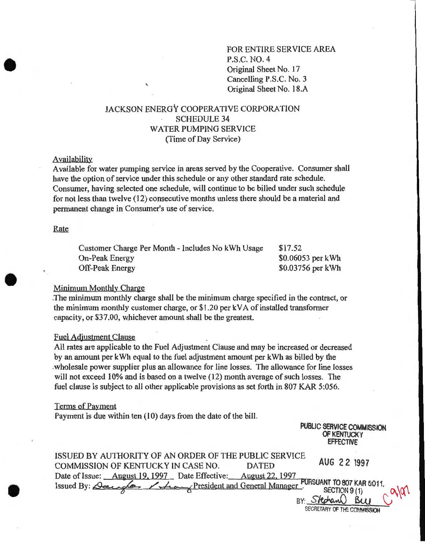FOR ENTIRE SERVICE AREA P.S.C. NO.4 Original Sheet No. 17 Cancelling P.S.C. No.3 Original Sheet No. 18.A

# JACKSON ENERGY COOPERATIVE CORPORATION SCHEDULE 34 WATER PUMPING SERVICE {Time of Day Service)

## Availability

Available for water pumping service in areas served by the Cooperative. Consumer shall have the option of service under this schedule or any other standard rate schedule. Consumer, having selected one schedule, will continue to be billed under such schedule for not less than twelve (12) consecutive months unless there should be a material and permanent change in Consumer's use of service.

Rate

| Customer Charge Per Month - Includes No kWh Usage | \$17.52            |
|---------------------------------------------------|--------------------|
| <b>On-Peak Energy</b>                             | $$0.06053$ per kWh |
| <b>Off-Peak Energy</b>                            | $$0.03756$ per kWh |

#### Minimum Monthly Charge

The minimum monthly charge shall be the minimum charge specified in the contract, or the minimum monthly customer charge, or \$1.20 per kV A of installed transformer capacity, or \$37.00, whichever amount shall be the greatest.

#### Fuel Adjustment Clause

All rates are applicable to the Fuel Adjustment Clause and may be increased or decreased by an amount per kWh equal to the fuel adjustment amount per kWh as billed by the .wholesale power supplier plus an allowance for line losses. The allowance for line losses will not exceed 10% and is based on a twelve (12) month average of such losses. The fuel clause is subject to all other applicable provisions as set forth in 807 KAR 5:056.

## Terms of Payment

Payment is due within ten (10) days from the date of the bill.

| PUBLIC SERVICE COMMISSION |
|---------------------------|
| OF KENTUCKY               |
| <b>EFFECTIVE</b>          |

| ISSUED BY AUTHORITY OF AN ORDER OF THE PUBLIC SERVICE                                                                                                          |              |                             |
|----------------------------------------------------------------------------------------------------------------------------------------------------------------|--------------|-----------------------------|
| <b>COMMISSION OF KENTUCKY IN CASE NO.</b>                                                                                                                      | <b>DATED</b> | AUG 22 1997                 |
| Date of Issue: August 19, 1997 Date Effective: August 22, 1997                                                                                                 |              |                             |
| Date of Issue: August 19, 1997 Date Effective. August 22, 1777 PURSUANT TO 807 KAR 5:011,<br>Issued By: Deep play President and General Manager. SECTION 9 (1) |              |                             |
|                                                                                                                                                                |              | BY: Stechan Buy             |
|                                                                                                                                                                |              | SECRETARY OF THE COMMISSION |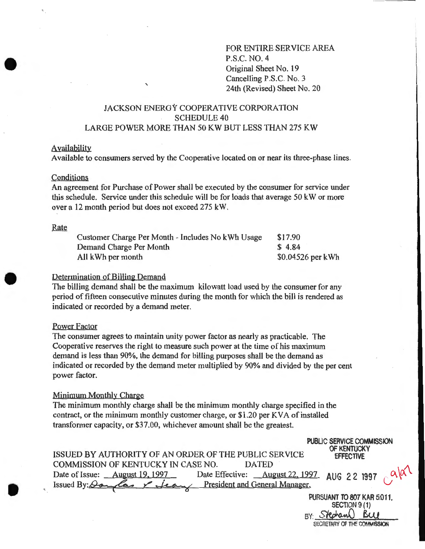FOR ENTIRE SERVICE AREA P.S.C. NO.4 Original Sheet No. 19 Cancelling P.S.C. No.3 24th (Revised) Sheet No. 20

# JACKSON ENERGY COOPERATIVE CORPORATION SCHEDULE40 LARGE POWER MORE THAN 50 KW BUT LESS THAN 275 KW

'

## Availability

Available to consumers served by the Cooperative located on or near its three-phase lines.

#### Conditions

An agreement for Purchase of Power shall be executed by the consumer for service under this schedule. Service under this schedule will be for loads that average 50 kW or more over a 12 month period but does not exceed 275 kW.

## Rate

| Customer Charge Per Month - Includes No kWh Usage | \$17.90           |
|---------------------------------------------------|-------------------|
| Demand Charge Per Month                           | \$4.84            |
| All kWh per month                                 | \$0.04526 per kWh |

## Determination of Billing Demand

The billing demand shall be the maximum kilowatt load used by the consumer for any period of fifteen consecutive minutes during the month for which the bill is rendered as indicated or recorded by a demand meter.

## Power Factor

The consumer agrees to maintain unity power factor as nearly as practicable. The Cooperative reserves the right to measure such power at the time of his maximum demand is less than 90%, the demand for billing purposes shall be the demand as indicated or recorded by the demand meter multiplied by 90% and divided by the per cent power factor.

#### Minimum Monthly Charge

The minimum monthly charge shall be the minimum monthly charge specified in the contract, or the minimum monthly customer charge, or  $$1.20$  per KVA of installed transformer capacity, or \$37.00, whichever amount shall be the greatest.

| ISSUED BY AUTHORITY OF AN ORDER OF THE PUBLIC SERVICE                                                                                             | PUBLIC SERVICE COMMISSION<br>OF KENTUCKY<br><b>EFFECTIVE</b> |  |
|---------------------------------------------------------------------------------------------------------------------------------------------------|--------------------------------------------------------------|--|
| COMMISSION OF KENTUCKY IN CASE NO.<br><b>DATED</b><br>Date of Issue: August 19, 1997 Date Effective: August 22, 1997 AUG 2 2 1997 $\alpha\alpha'$ |                                                              |  |
| Issued By: Oam las Y Lean President and General Manager.                                                                                          |                                                              |  |
|                                                                                                                                                   | PURSUANT TO 807 KAR 5:011.<br>SECTION 9(1)                   |  |

BY: Stechand Buy SECRETARY OF THE COMMISSION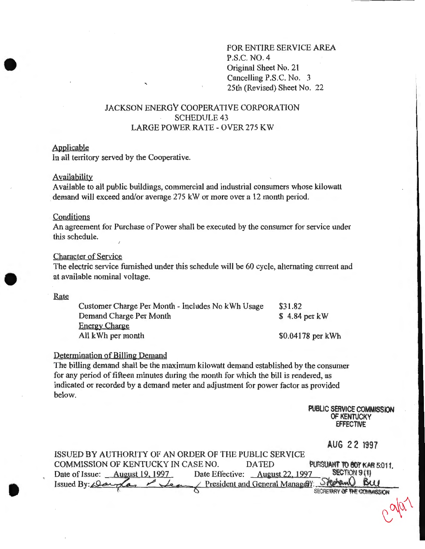FOR ENTIRE SERVICE AREA P.S.C. NO.4 Original Sheet No. 21 Cancelling P.S.C. No. 3 25th (Revised) Sheet No. 22

# JACKSON ENERGY COOPERATIVE CORPORATION SCHEDULE<sub>43</sub> LARGE POWER RATE- OVER 275 KW

## Applicable

In all territory served by the Cooperative.

### Availability

Available to all public buildings, commercial and industrial consumers whose kilowatt demand will exceed and/or average 275 kW or more over a 12 month period.

## **Conditions**

Rate

An agreement for Purchase of Power shall be executed by the consumer for service under this schedule.

## Character of Service

The electric service furnished under this schedule will be 60 cycle, alternating current and at available nominal voltage.

| Customer Charge Per Month - Includes No kWh Usage | \$31.82           |
|---------------------------------------------------|-------------------|
| Demand Charge Per Month                           | $$4.84$ per kW    |
| <b>Energy Charge</b>                              |                   |
| All kWh per month                                 | \$0.04178 per kWh |

## Determination of Billing Demand

The billing demand shall be the maximum kilowatt demand established by the consumer for any period of fifteen minutes during the month for which the bill is rendered, as indicated or recorded by a demand meter and adjustment for power factor as provided below.

> PUBLIC SERVICE COMMISSION OF KENTUCKY EFFECTIVE

> > AUG 22 1997

 $\bigcup_{n=1}^{\infty}$ 

| ISSUED BY AUTHORITY OF AN ORDER OF THE PUBLIC SERVICE                       |              |                             |
|-----------------------------------------------------------------------------|--------------|-----------------------------|
| COMMISSION OF KENTUCKY IN CASE NO.                                          | <b>DATED</b> | PURSUANT TO BOT KAR 5:011.  |
| Date of Issue: August 19, 1997 Date Effective: August 22, 1997 SECTION 9(1) |              |                             |
| Issued By: Dauglas / Jean President and General Managett Skeham Buy         |              |                             |
|                                                                             |              | SECRETARY OF THE COMMISSION |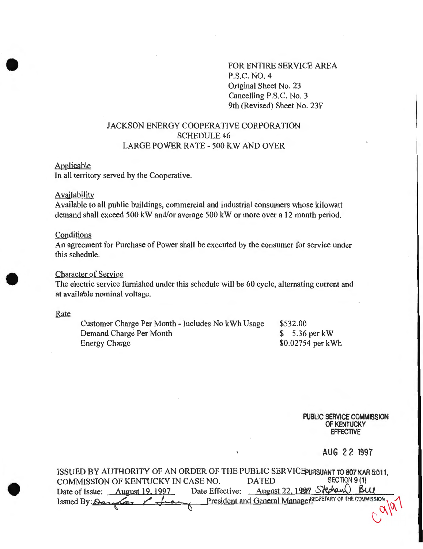FOR ENTIRE SERVICE AREA P.S.C. NO.4 Original Sheet No. 23 Cancelling P.S.C. No. 3 9th (Revised) Sheet No. 23F

# JACKSON ENERGY COOPERATIVE CORPORATION SCHEDULE 46 LARGE POWER RATE- 500 KW AND OVER

## Applicable

In all territory served by the Cooperative.

## **Availability**

Available to all public buildings, commercial and industrial consumers whose kilowatt demand shall exceed 500 kW and/or average 500 kW or more over a 12 month period.

#### Conditions

An agreement for Purchase of Power shall be executed by the consumer for service under this schedule.

### Character of Service

The electric service furnished under this schedule will be 60 cycle, alternating current and at available nominal voltage.

#### Rate

Customer Charge Per Month- Includes No kWh Usage Demand Charge Per Month Energy Charge \$532.00 \$ 5.36 per kW \$0.02754 per kWh

> **PUBLIC SERVICE COMMISSION OF KENTUCKY EFFECTIVE**

> > **AUG 2 2 1997**

ISSUED BY AUTHORITY OF AN ORDER OF THE PUBLIC SERVICE PURSUANT TO 807 KAR 5:011,<br>COMMISSION OF KENTUCKY IN CASE NO. DATED SECTION 9(1) COMMISSION OF KENTUCKY IN CASE NO. DATED SECTION 9 (1)<br>Date of Issue: August 19, 1997 Date Effective: August 22, 1997 Slechand BUJ Date of Issue: <u>August 19, 1997</u> Date Effective: August 22, 1997 Slechann Issued By: <u>Oar /a, / Jean, President and General Manager<sup>SECRETARY OF THE COMMISSION</mark></u></sup>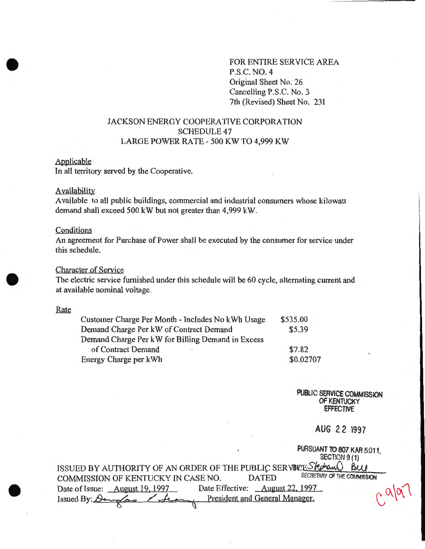FOR ENTIRE SERVICE AREA P.S.C. NO.4 Original Sheet No. 26 Cancelling P.S.C. No.3 7th (Revised) Sheet No. 23I

# JACKSON ENERGY COOPERATIVE CORPORATION SCHEDULE 47 LARGE POWER RATE- 500 KW TO 4,999 KW

#### Applicable

In all territory served by the Cooperative.

### **Availability**

Available to all public buildings, commercial and industrial consumers whose kilowatt demand shall exceed 500 kW but not greater than 4,999 kW.

#### Conditions

An agreement for Purchase of Power shall be executed by the consumer for service under this schedule.

## Character of Service

The electric service furnished under this schedule will be 60 cycle, alternating current and at available nominal voltage.

#### Rate

| Customer Charge Per Month - Includes No kWh Usage | \$535.00  |
|---------------------------------------------------|-----------|
| Demand Charge Per kW of Contract Demand           | \$5.39    |
| Demand Charge Per kW for Billing Demand in Excess |           |
| of Contract Demand<br>٠                           | \$7.82    |
| Energy Charge per kWh                             | \$0.02707 |

PUBLIC SERVICE COMMISSION OF KENTUCKY **EFFECTIVE** 

AUG 22 1997

PURSUANT TO 807 KAR 5:011

|                                                                    |                                        | SECTION 9 (1)               |
|--------------------------------------------------------------------|----------------------------------------|-----------------------------|
| ISSUED BY AUTHORITY OF AN ORDER OF THE PUBLIC SERVECE Stection BLU |                                        |                             |
| COMMISSION OF KENTUCKY IN CASE NO.                                 | <b>DATED</b>                           | SECRETARY OF THE COMMISSION |
| Date of Issue: <u>August 19, 1997</u>                              | Date Effective: <u>August 22, 1997</u> | 0.991                       |
| Issued By: Daughas / feary                                         | President and General Manager.         |                             |
|                                                                    |                                        |                             |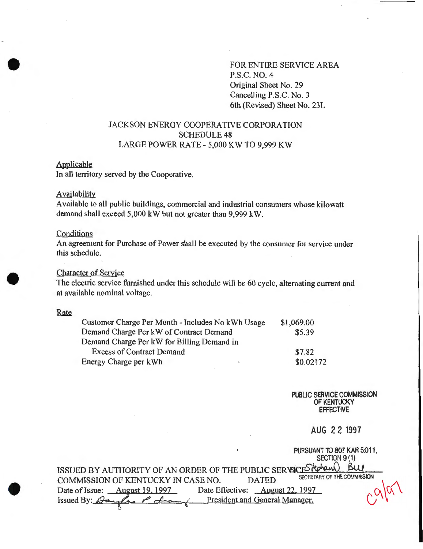FOR ENTIRE SERVICE AREA P.S.C. NO.4 Original Sheet No. 29 Cancelling P.S.C. No.3 6th (Revised) Sheet No. 23L

# JACKSON ENERGY COOPERATIVE CORPORATION SCHEDULE 48 LARGE POWER RATE- 5,000 KW TO 9,999 KW

## Applicable

In all territory served by the Cooperative.

# **Availability**

Available to all public buildings, commercial and industrial consumers whose kilowatt demand shall exceed 5,000 kW but not greater than 9,999 kW.

## **Conditions**

An agreement for Purchase of Power shall be executed by the consumer for service under this schedule.

## Character of Service

The electric service furnished under this schedule will be 60 cycle, alternating current and at available nominal voltage.

#### Rate

| Customer Charge Per Month - Includes No kWh Usage | \$1,069.00 |
|---------------------------------------------------|------------|
| Demand Charge Per kW of Contract Demand           | \$5.39     |
| Demand Charge Per kW for Billing Demand in        |            |
| <b>Excess of Contract Demand</b>                  | \$7.82     |
| Energy Charge per kWh                             | \$0.02172  |

PUBLIC SERVICE COMMISSION OF KENTUCKY EFFECTIVE

AUG 2 2 1997

**PURCUANT TO 807 KAR 5:011.** 

| <b>FUNDUANT TO OUT INATION IT,</b><br>SECTION 9 (1)                               |  |
|-----------------------------------------------------------------------------------|--|
| ISSUED BY AUTHORITY OF AN ORDER OF THE PUBLIC SERVER FROM BULL                    |  |
| SECRETARY OF THE COMMISSION<br>COMMISSION OF KENTUCKY IN CASE NO.<br><b>DATED</b> |  |
| Date Effective: August 22, 1997<br>Date of Issue: August 19, 1997                 |  |
| Issued By: <del>Day fas P Law</del> President and General Manager.                |  |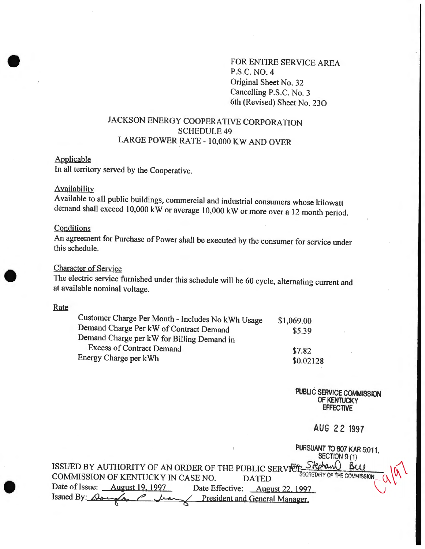FOR ENTIRE SERVICE AREA P.S.C. NO.4 Original Sheet No. 32 Cancelling P.S.C. No.3 6th (Revised) Sheet No. 230

# JACKSON ENERGY COOPERATIVE CORPORATION SCHEDULE<sub>49</sub> LARGE POWER RATE- 10,000 KW AND OVER

### Applicable

In all territory served by the Cooperative.

### **Availability**

Available to all public buildings, commercial and industrial consumers whose kilowatt demand shall exceed 10,000 kW or average 10,000 kW or more over a 12 month period.

## **Conditions**

An agreement for Purchase of Power shall be executed by the consumer for service under this schedule.

# Character of Service

The electric service furnished under this schedule will be 60 cycle, alternating current and at available nominal voltage.

#### Rate

| Customer Charge Per Month - Includes No kWh Usage | \$1,069.00 |
|---------------------------------------------------|------------|
| Demand Charge Per kW of Contract Demand           | \$5.39     |
| Demand Charge per kW for Billing Demand in        |            |
| <b>Excess of Contract Demand</b>                  | \$7.82     |
| Energy Charge per kWh                             | \$0.02128  |

PUBLIC SERVICE COMMISSION OF KENTUCKY **EFFECTIVE** 

AUG 22 1997

|                                                                     | PURSUANT TO 807 KAR 5:011.                  |
|---------------------------------------------------------------------|---------------------------------------------|
|                                                                     | SECTION 9 (1)                               |
| ISSUED BY AUTHORITY OF AN ORDER OF THE PUBLIC SERVICE-              |                                             |
| COMMISSION OF KENTUCKY IN CASE NO.                                  | SECRETARY OF THE COMMISSION<br><b>DATED</b> |
| Date of Issue: <u>August 19, 1997</u><br>Date Effective:            | <b>August 22, 1997</b>                      |
| Issued By: $\Omega_{\text{dual}}$<br>President and General Manager. |                                             |
|                                                                     |                                             |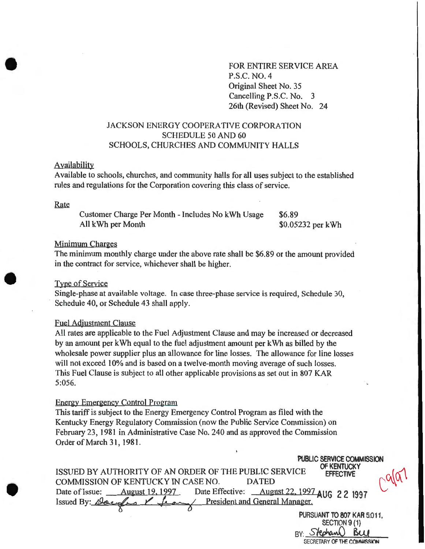FOR ENTIRE SERVICE AREA P.S.C. NO.4 Original Sheet No. 35 Cancelling P.S.C. No. 3 26th (Revised) Sheet No. 24

# JACKSON ENERGY COOPERATIVE CORPORATION SCHEDULE 50 AND 60 SCHOOLS, CHURCHES AND COMMUNITY HALLS

### Availability

Available to schools, churches, and community halls for all uses subject to the established rules and regulations for the Corporation covering this class of service.

#### Rate

Customer Charge Per Month- Includes No kWh Usage All kWh per Month

\$6.89 \$0.05232 per kWh

SECRETARY OF THE COMMISSION

## Minimum Charges

The minimum monthly charge under the above rate shall be \$6.89 or the amount provided in the contract for service, whichever shall be higher.

# Type of Service

Single-phase at available voltage. In case three-phase service is required, Schedule 30, Schedule 40, or Schedule 43 shall apply.

### Fuel Adjustment Clause

All rates are applicable to the Fuel Adjustment Clause and may be increased or decreased by an amount per kWh equal to the fuel adjustment amount per kWh as billed by the wholesale power supplier plus an allowance for line losses. The allowance for line losses will not exceed 10% and is based on a twelve-month moving average of such losses. This Fuel Clause is subject to all other applicable provisions as set out in 807 KAR 5:056.

## Energy Emergency Control Program

This tariff is subject to the Energy Emergency Control Program as filed with the Kentucky Energy Regulatory Commission (now the Public Service Commission) on February 23, 1981 in Administrative Case No. 240 and as approved the Commission Order of March 31, 1981 .

| PUBLIC SERVICE COMMISSION                                                                    |  |
|----------------------------------------------------------------------------------------------|--|
| OF KENTUCKY<br>ISSUED BY AUTHORITY OF AN ORDER OF THE PUBLIC SERVICE<br><b>EFFECTIVE</b>     |  |
| COMMISSION OF KENTUCKY IN CASE NO.<br><b>DATED</b>                                           |  |
| Date Effective: <u>August 22, 1997</u> AUG 2 2 1997<br>Date of Issue: <u>August 19, 1997</u> |  |
| <u>Lean / President and General Manager.</u><br>Issued By: Daughs                            |  |
| PURSUANT TO 807 KAR 5:011,                                                                   |  |
| SECTION 9 (1)                                                                                |  |
|                                                                                              |  |
|                                                                                              |  |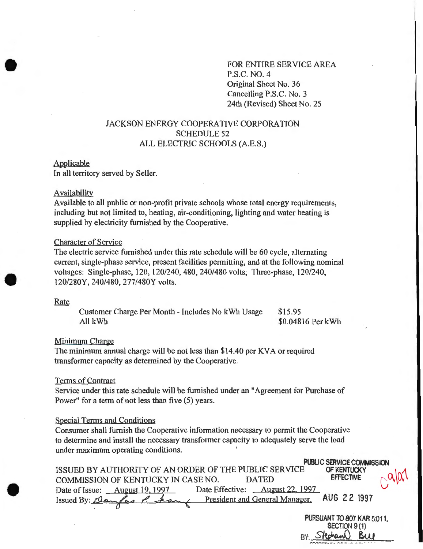# FOR ENTIRE SERVICE AREA P.S.C. NO.4 Original Sheet No. 36 Cancelling P.S.C. No.3 24th (Revised) Sheet No. 25

# JACKSON ENERGY COOPERATIVE CORPORATION SCHEDULE 52 ALL ELECTRIC SCHOOLS (A.E.S.)

#### Applicable

In all territory served by Seller.

#### Availability

Available to all public or non-profit private schools whose total energy requirements, including but not limited to, heating, air-conditioning, lighting and water heating is supplied by electricity furnished by the Cooperative.

## Character of Service

The electric service furnished under this rate schedule will be 60 cycle, alternating current, single-phase service, present facilities permitting, and at the following nominal voltages: Single-phase, 120, 120/240, 480, 240/480 volts; Three-phase, 120/240, 120/280Y, 240/480, 277/480Y volts.

#### Rate

Customer Charge Per Month- Includes No kWh Usage All kWh \$15.95 \$0.04816 Per kWh

### Minimum Charge

The minimum annual charge will be not less than \$14.40 per KVA or required transformer capacity as determined by the Cooperative.

#### Terms of Contract

Service under this rate schedule will be furnished under an "Agreement for Purchase of Power" for a term of not less than five (5) years.

#### Special Terms and Conditions

Consumer shall furnish the Cooperative information necessary to permit the Cooperative to determine and install the necessary transformer capacity to adequately serve the load under maximum operating conditions.

**PUBLIC SERVICE COMMISSION**<br>C OF KENTUCKY ISSUED BY AUTHORITY OF AN ORDER OF THE PUBLIC SERVICE OF KENTUCK<br>COMMISSION OF KENTUCKY IN CASE NO. DATED COMMISSION OF KENTUCKY IN CASE NO. DATED Date of Issue: August 19, 1997 Date Effective: August 22, 1997 Issued By: clay fas P. ham President and General Manager. AUG 22 1997

PURSUANT TO 807 KAR 5:011. SECTION 9 (1) BY: Stechand Buy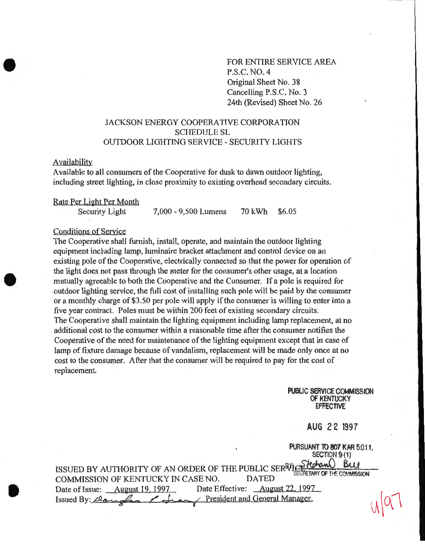FOR ENTIRE SERVICE AREA P.S.C. NO. 4 Original Sheet No. 38 Cancelling P.S.C. No. 3 24th (Revised) Sheet No. 26

# JACKSON ENERGY COOPERATIVE CORPORATION SCHEDULE SL OUTDOOR LIGHTING SERVICE- SECURITY LIGHTS

### Availability

Available to all consumers of the Cooperative for dusk to dawn outdoor lighting. including street lighting, in close proximity to existing overhead secondary circuits.

Rate Per Light Per Month

Security Light 7,000- 9,500 Lumens 70 kWh \$6.05

## Conditions of Service

The Cooperative shall furnish, install, operate, and maintain the outdoor lighting equipment including lamp, luminaire bracket attachment and control device on an existing pole of the Cooperative, electrically connected so that the power for operation of the light does not pass through the meter for the consumer's other usage, at a location mutually agreeable to both the Cooperative and the Consumer. If a pole is required for . outdoor lighting service, the full cost of installing such pole will be paid by the consumer or a monthly charge of \$3.50 per pole will apply if the consumer is willing to enter into a five year contract. Poles must be within 200 feet of existing secondary circuits. The Cooperative shall maintain the lighting equipment including lamp replacement, at no additional cost to the consumer within a reasonable time after the consumer notifies the Cooperative of the need for maintenance of the lighting equipment except that in case of lamp of fixture damage because of vandalism, replacement will be made only once at no cost to the consumer. After that the consumer will be required to pay for the cost of replacement.

> PUBLIC SERVICE COMMISSION OF KENTUCKY **FFFECTIVE**

# **AUG 22 1997**

PURSUANT TO 807 KAR 5:011

SECTION 9/11 ISSUED BY AUTHORITY OF AN ORDER OF THE PUBLIC SERRYLOP FROM BLUE COMMISSION COMMISSION OF KENTUCKY IN CASE NO. Date of Issue: August 19, 1997 Date Effective: August 22, 1997 Issued By: <del>Claugher / Juan /</del> President and General Manager.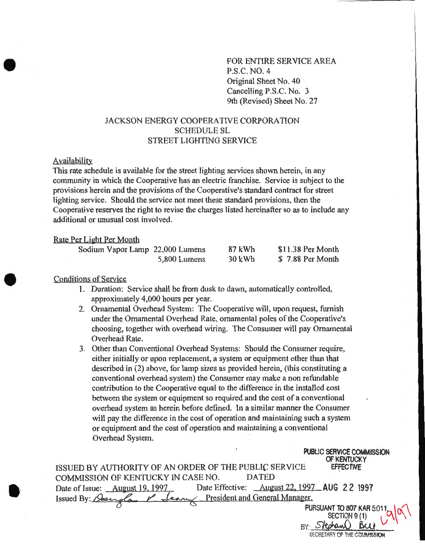FOR ENTIRE SERVICE AREA P.S.C. NO.4 Original Sheet No. 40 Cancelling P.S.C. No. 3 9th (Revised) Sheet No. 27

# JACKSON ENERGY COOPERATIVE CORPORATION SCHEDULE SL STREET LIGHTING SERVICE

## Availability

This rate schedule is available for the street lighting services shown herein, in any community in which the Cooperative has an electric franchise. Service is subject to the provisions herein and the provisions of the Cooperative's standard contract for street lighting service. Should the service not meet these standard provisions, then the Cooperative reserves the right to revise the charges listed hereinafter so as to include any additional or unusual cost involved.

## Rate Per Light Per Month

| Sodium Vapor Lamp 22,000 Lumens |              | 87 kWh | \$11.38 Per Month |
|---------------------------------|--------------|--------|-------------------|
|                                 | 5,800 Lumens | 30 kWh | \$7.88 Per Month  |

## Conditions of Service

- **1.** Duration: Service shall be from dusk to dawn, automatically controlled, approximately 4,000 hours per year.
- 2. Ornamental Overhead System: The Cooperative will, upon request, furnish under the Ornamental Overhead Rate, ornamental poles of the Cooperative's choosing, together with overhead wiring. The Consumer will pay Ornamental Overhead Rate.
- 3. Other than Conventional Overhead Systems: Should the Consumer require, either initially or upon replacement, a system or equipment other than that described in (2) above, for lamp sizes as provided herein, (this constituting a conventional overhead system) the Consumer may make a non refundable contribution to the Cooperative equal to the difference in the installed cost between the system or equipment so required and the cost of a conventional overhead system as herein before defined. In a similar manner the Consumer will pay the difference in the cost of operation and maintaining such a system or equipment and the cost of operation and maintaining a conventional Overhead System.

| <b>PUBLIC SERVICE COMMISSION</b><br>OF KENTUCKY                                       |
|---------------------------------------------------------------------------------------|
| ISSUED BY AUTHORITY OF AN ORDER OF THE PUBLIC SERVICE<br><b>EFFECTIVE</b>             |
| COMMISSION OF KENTUCKY IN CASE NO.<br><b>DATED</b>                                    |
| Date Effective: <u>August 22, 1997</u> AUG 2 2 1997<br>Date of Issue: August 19, 1997 |
| <u>Lean President and General Manager.</u><br>Issued By: Geenda                       |
| PURSUANT TO 807 KAR 5:011                                                             |
| SECTION 9 (1)                                                                         |
|                                                                                       |
| SECRETARY OF THE COMMISSION                                                           |